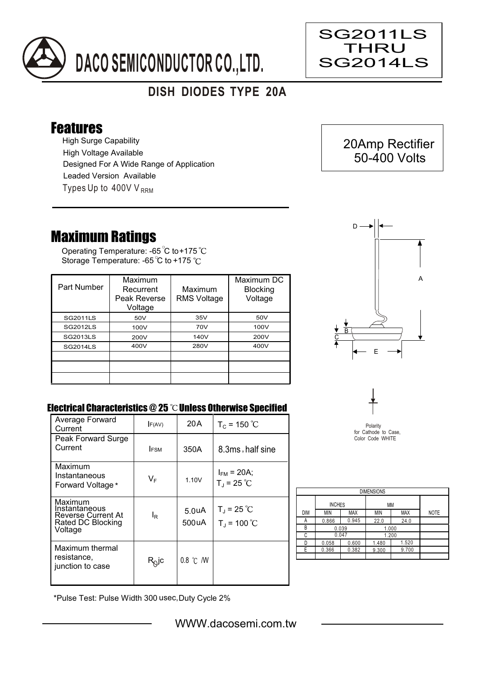

## **DISH DIODES TYPE 20A**

## Features

High Surge Capability Types Up to  $400VV_{RRM}$ High Voltage Available Designed For A Wide Range of Application Leaded Version Available

## Maximum Ratings

Operating Temperature: -65 C to +175 Storage Temperature: -65 °C to +175 °C

| Part Number     | Maximum<br>Recurrent<br>Peak Reverse<br>Voltage | Maximum<br><b>RMS Voltage</b> | Maximum DC<br><b>Blocking</b><br>Voltage |
|-----------------|-------------------------------------------------|-------------------------------|------------------------------------------|
| <b>SG2011LS</b> | 50V                                             | 35V                           | 50V                                      |
| <b>SG2012LS</b> | 100V                                            | 70V                           | 100V                                     |
| <b>SG2013LS</b> | 200V                                            | 140V                          | 200V                                     |
| <b>SG2014LS</b> | 400V                                            | 280V                          | 400V                                     |
|                 |                                                 |                               |                                          |
|                 |                                                 |                               |                                          |
|                 |                                                 |                               |                                          |



 20Amp Rectifier 50-400 Volts

SG2011LS THRU SG2014LS

Ξ

## Electrical Characteristics @ 25 °C Unless Otherwise Specified

| Average Forward<br>Current                                                            | F(AV)          | 20 A                        | $T_c = 150 °C$                          |
|---------------------------------------------------------------------------------------|----------------|-----------------------------|-----------------------------------------|
| Peak Forward Surge<br>Current                                                         | <b>IFSM</b>    | 350A                        | 8.3ms, half sine                        |
|                                                                                       |                |                             |                                         |
| Maximum<br>Instantaneous<br>Forward Voltage *                                         | $V_F$          | 1.10V                       | $I_{FM}$ = 20A;<br>$T_{J}$ = 25 °C      |
| Maximum<br>Instantaneous<br><b>Reverse Current At</b><br>Rated DC Blocking<br>Voltage | l <sub>R</sub> | 5.0 <sub>u</sub> A<br>500uA | $T_{\rm J}$ = 25 °C<br>$T_{J}$ = 100 °C |
| Maximum thermal<br>resistance,<br>junction to case                                    | $R_Q$ jc       | $0.8$ °C $/$ W              |                                         |



| <b>DIMENSIONS</b> |               |            |       |            |             |  |  |  |
|-------------------|---------------|------------|-------|------------|-------------|--|--|--|
|                   | <b>INCHES</b> |            | МM    |            |             |  |  |  |
| <b>DIM</b>        | <b>MIN</b>    | <b>MAX</b> | ΜIΝ   | <b>MAX</b> | <b>NOTE</b> |  |  |  |
| Α                 | 0.866         | 0.945      | 22.0  | 24.0       |             |  |  |  |
| В                 | 0.039         |            | 1.000 |            |             |  |  |  |
| C                 | 0.047         |            | 1.200 |            |             |  |  |  |
| D                 | 0.058         | 0.600      | 1.480 | 1.520      |             |  |  |  |
| F                 | 0.366         | 0.382      | 9.300 | 9.700      |             |  |  |  |
|                   |               |            |       |            |             |  |  |  |

\*Pulse Test: Pulse Width 300 usec,Duty Cycle 2%